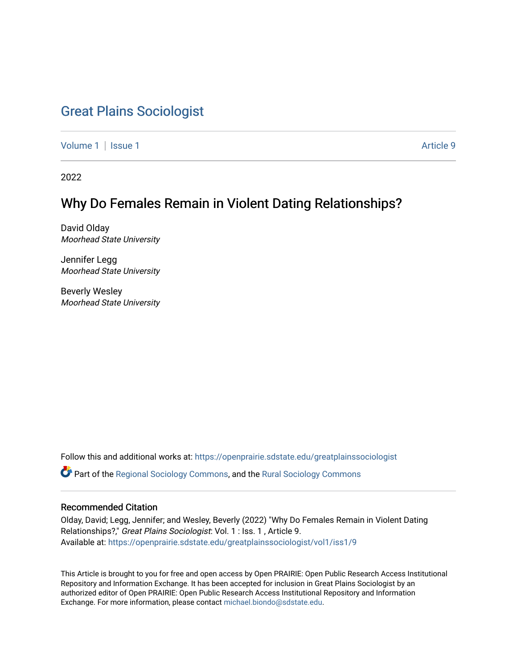# [Great Plains Sociologist](https://openprairie.sdstate.edu/greatplainssociologist)

[Volume 1](https://openprairie.sdstate.edu/greatplainssociologist/vol1) | [Issue 1](https://openprairie.sdstate.edu/greatplainssociologist/vol1/iss1) Article 9

2022

# Why Do Females Remain in Violent Dating Relationships?

David Olday Moorhead State University

Jennifer Legg Moorhead State University

Beverly Wesley Moorhead State University

Follow this and additional works at: [https://openprairie.sdstate.edu/greatplainssociologist](https://openprairie.sdstate.edu/greatplainssociologist?utm_source=openprairie.sdstate.edu%2Fgreatplainssociologist%2Fvol1%2Fiss1%2F9&utm_medium=PDF&utm_campaign=PDFCoverPages) 

Part of the [Regional Sociology Commons](http://network.bepress.com/hgg/discipline/427?utm_source=openprairie.sdstate.edu%2Fgreatplainssociologist%2Fvol1%2Fiss1%2F9&utm_medium=PDF&utm_campaign=PDFCoverPages), and the [Rural Sociology Commons](http://network.bepress.com/hgg/discipline/428?utm_source=openprairie.sdstate.edu%2Fgreatplainssociologist%2Fvol1%2Fiss1%2F9&utm_medium=PDF&utm_campaign=PDFCoverPages) 

# Recommended Citation

Olday, David; Legg, Jennifer; and Wesley, Beverly (2022) "Why Do Females Remain in Violent Dating Relationships?," Great Plains Sociologist: Vol. 1 : Iss. 1, Article 9. Available at: [https://openprairie.sdstate.edu/greatplainssociologist/vol1/iss1/9](https://openprairie.sdstate.edu/greatplainssociologist/vol1/iss1/9?utm_source=openprairie.sdstate.edu%2Fgreatplainssociologist%2Fvol1%2Fiss1%2F9&utm_medium=PDF&utm_campaign=PDFCoverPages) 

This Article is brought to you for free and open access by Open PRAIRIE: Open Public Research Access Institutional Repository and Information Exchange. It has been accepted for inclusion in Great Plains Sociologist by an authorized editor of Open PRAIRIE: Open Public Research Access Institutional Repository and Information Exchange. For more information, please contact [michael.biondo@sdstate.edu.](mailto:michael.biondo@sdstate.edu)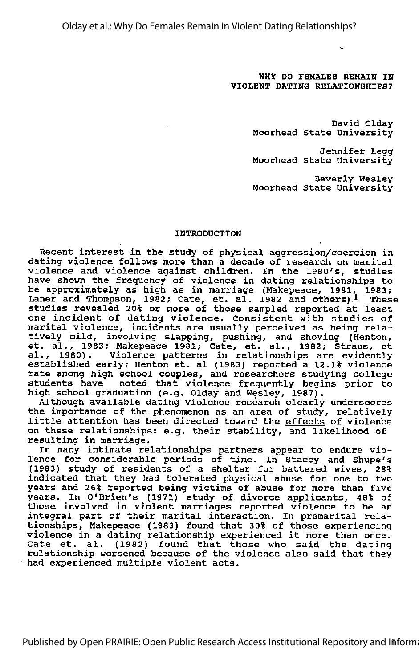Olday et al.: Why Do Females Remain in Violent Dating Relationships?

# WHY DO FEMALES REMAIN IN yiOLENT DATING RELATIONSHIPS?

David Olday Moorhead State University

Jennifer Legg Moorhead State University

Beverly Wesley Moorhead State University

# INTRODUCTION

Recent interest in the study of physical aggression/coercion in dating violence follows more than <sup>a</sup> decade of research on marital violence and violence against children. In the 1980's, studies have shown the frequency of violence in dating relationships to be approximately as high as in marriage (Makepeace, 1981, 1983; Laner and Thompson, 1982; Cate, et. al. 1982 and others).<sup>1</sup> These studies revealed 20% or more of those sampled reported at least one incident of dating violence. Consistent with studies of marital violence, incidents are usually perceived as being rela tively mild, involving slapping, pushing, and shoving (Henton, et. al., 1983; Makepeace 1981; Gate, et. al., 1982; Straus, et al., 1980). Violence patterns in relationships are evidently established early; Henton et. al (1983) reported <sup>a</sup> 12.1% violence rate among high school couples, and researchers studying college students have noted that violence frequently begins prior to high school graduation (e.g. Olday and Wesley, 1987).

Although available dating violence research clearly underscores the importance of the phenomenon as an area of study, relatively little attention has been directed toward the effects of violence on these relationships: e.g. their stability, and likelihood of resulting in marriage.

In many intimate relationships partners appear to endure vio lence for considerable periods of time. In Stacey and Shupe's (1983) study of residents of <sup>a</sup> shelter for battered wives, 28% indicated that they had tolerated physical abuse for one to two years and 26% reported being victims of abuse for more than five years. In O'Brien's (1971) study of divorce applicants, 48% of those involved in violent marriages reported violence to be an integral part of their marital interaction. In premarital rela tionships, Makepeace (1983) found that 30% of those experiencing violence in <sup>a</sup> dating relationship experienced it more than once. Gate et. al. (1982) found that those who said the dating Cate et. al. (1982) found that those who said the dating<br>relationship worsened because of the violence also said that they had experienced multiple violent acts.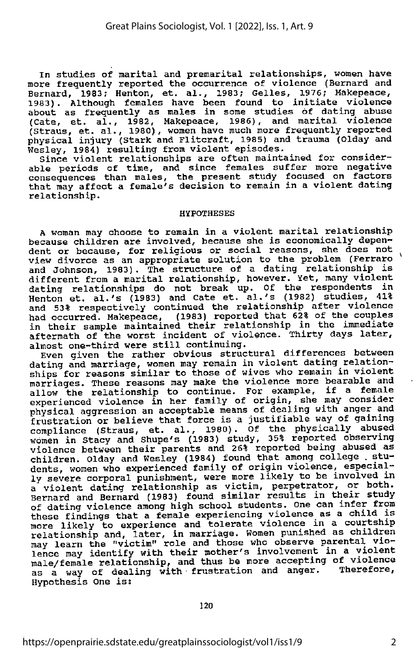In studies of marital and premarital relationships, women have more frequently reported the occurrence of violence (Bernard and Bernard, 1983? Henton, et. al., 1983; Gelles, 1976; Makepeace, 1983). Although females have been found to initiate violence about as frequently as males in some studies of dating abuse (Gate, et. al., 1982, Makepeace, 1986), and marital violence (Straus, et. al., 1980), women have much more frequently reported physical injury (Stark and Flitcraft, 1985) and trauma (Olday and Wesley, 1984) resulting from violent episodes.

Since violent relationships are often maintained for consider able periods of time, and since females suffer more negative consequences than males, the present study focused on factors that may affect a female's decision to remain in a violent dating relationship.

#### HypOTHESES

A woman may choose to remain in a violent marital relationship because children are involved, because she is economically depen dent or because, for religious or social reasons, she does not view divorce as an appropriate solution to the problem (Ferraro and Johnson, 1983). The structure of a dating relationship is different from a marital relationship, however. Yet, many violent dating relationships do not break up. Of the respondents in Henton et. al.'s (1983) and Gate et. al.'s (1982) studies, 41% and 53% respectively continued the relationship after violence<br>had occurred. Makepeace, (1983) reported that 62% of the couples in their sample maintained their relationship in the immediate aftermath of the worst incident of violence. Thirty days later, almost one-third were still continuing.

Even given the rather obvious structural differences between dating and marriage, women may remain in violent dating relation ships for reasons similar to those of wives who remain in violent marriages. These reasons may make the violence more bearable and<br>allow the relationship to continue. For example, if a female experienced violence in her family of origin, she may consider physical aggression an acceptable means of dealing with anger and frustration or believe that force is <sup>a</sup> justifiable way of gaining compliance (Straus, et. al., 1980). Of the physically abused women in Stacy and Shupe's (1983) study, 35% reported observing violence between their parents and 26% reported being abused as children. Olday and Wesley (1984) found that among college . stu dents, women who experienced family of origin violence, especial-<br>ly severe corporal punishment, were more likely to be involved in a violent dating relationship as victim, perpetrator, or both.<br>Bernard and Bernard (1983) found similar results in their study of dating violence among high school students. One can infer from these findings that a female experiencing violence as a child is more likely to experience and tolerate violence in a courtship relationship and, later, in marriage. Women punished as children may learn the "victim" role and those who observe parental vio lence may identify with their mother's involvement in a violent male/female relationship, and thus be more accepting of violence as a way of dealing with frustration and anger. Therefore, Hypothesis One is;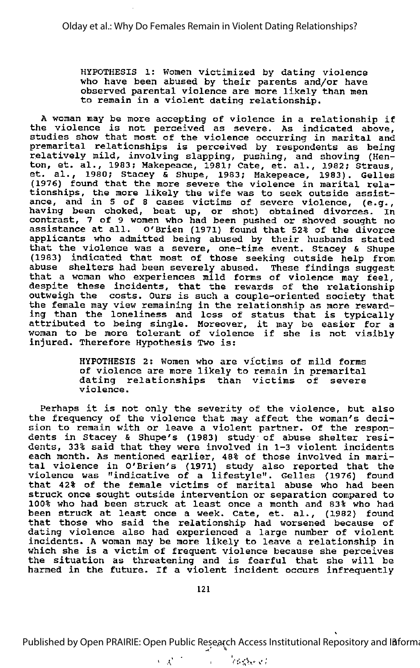HYPOTHESIS 1: Women victimized by dating violence who have been abused by their parents and/or have observed parental violence are more likely than men to remain in <sup>a</sup> violent dating relationship.

<sup>A</sup> woman may be more accepting of violence in <sup>a</sup> relationship if the violence is not perceived as severe. As indicated above, studies show that most of the violence occurring in marital and premarital relationships is perceived by respondents as being relatively mild, involving slapping, pushing, and shoving (Hen-ton, et. al., 1983; Makepeace, 1981; Cate, et. al., 1982; Straus, con, et. al., 1983; Makepeace, 1981; Cate, et. al., 1982; Straus,<br>et. al., 1980; Stacey & Shupe, 1983; Makepeace, 1983). Gelles (1976) found that the more severe the violence in marital rela tionships, the more likely the wife was to seek outside assist ance, and in 5 of 8 cases victims of severe violence, (e.g., having been choked, beat up, or shot) obtained divorces. In contrast, <sup>7</sup> of <sup>9</sup> women who had been pushed or shoved sought no assistance at all. O'Brien (1971) found that 52% of the divorce applicants who admitted being abused by their husbands stated that the violence was <sup>a</sup> severe, one-time event. Stacey & Shupe (1983) indicated that most of those seeking outside help from abuse shelters had been severely abused. These findings suggest that <sup>a</sup> woman who experiences mild forms of violence may feel, despite these incidents, that the rewards of the relationship outweigh the costs. Ours is such <sup>a</sup> couple-oriented society that the female may view remaining in the relationship as more reward ing than the loneliness and loss of status that is typically ing than the fonefiness and loss of status that is typically<br>attributed to being single. Moreover, it may be easier for a attributed to being single. Moreover, it may be easier for a<br>woman to be more tolerant of violence if she is not visibly injured. Therefore Hypothesis Two is:

> HYPOTHESIS 2: Women who are victims of mild forms of violence are more likely to remain in premarital dating relationships than victims of severe violence.

Perhaps it is not only the severity of the violence, but also the frequency of the violence that may affect the woman's deci sion to remain with or leave a violent partner. Of the respon dents in Stacey & Shupe's (1983) study of abuse shelter residents, 33% said that they were involved in 1-3 violent incidents each month. As mentioned earlier, 48% of those involved in mari tal violence in O'Brien's (1971) study also reported that the violence was "indicative of <sup>a</sup> lifestyle". Gelles (1976) found that 42% of the female victims of marital abuse who had been struck once sought outside intervention or separation compared to 100% who had been struck at least once <sup>a</sup> month and 83% who had been struck at least once <sup>a</sup> week. Cate, et. al., (1982) found that those who said the relationship had worsened because of dating violence also had experienced <sup>a</sup> large number of violent incidents. <sup>A</sup> woman may be more likely to leave <sup>a</sup> relationship in which she is <sup>a</sup> victim of frequent violence because she perceives the situation as threatening and is fearful that she will be harmed in the future. If <sup>a</sup> violent incident occurs infrequently

Published by Open PRAIRIE: Open Public Research Access Institutional Repository and Information

 $\sim \lambda^{1/2}$  $v_{\rm F}$  is  $v_{\rm f}$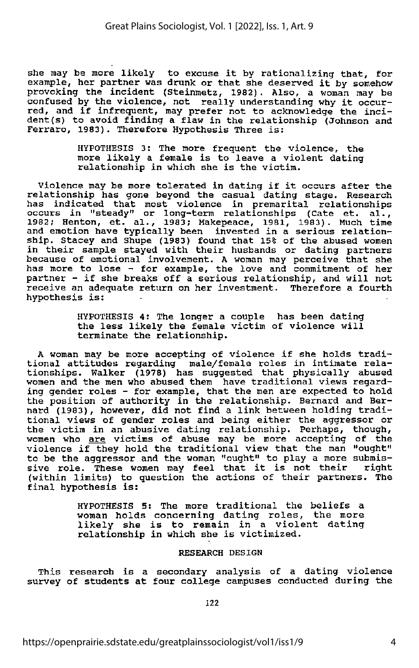she may be more likely to excuse it by rationalizing that, for example, her partner was drunk or that she deserved it by somehow provoking the incident (Steinmetz, 1982). Also, a woman may be confused by the violence, not really understanding why it occur red, and if infrequent, may prefer not to acknowledge the inci dent (s) to avoid finding a flaw in the relationship (Johnson and Ferraro, 1983). Therefore Hypothesis Three is:

> HYPOTHESIS 3: The more frequent the violence, the more likely <sup>a</sup> female is to leave <sup>a</sup> violent dating relationship in which she is the victim.

Violence may be more tolerated in dating if it occurs after the relationship has gone beyond the casual dating stage. Research has indicated that most violence in premarital relationships occurs in "steady" or long-term relationships (Gate et. al., 1982; Henton, et. al., 1983; Makepeace, 1981, 1983). Much time and emotion have typically been invested in <sup>a</sup> serious relation ship. Stacey and Shupe (1983) found that 15% of the abused women in their sample stayed with their husbands or dating partners because of emotional involvement. <sup>A</sup> woman may perceive that she has more to lose - for example, the love and commitment of her partner - if she breaks off <sup>a</sup> serious relationship, and will not receive an adequate return on her investment. Therefore <sup>a</sup> fourth hypothesis is:

> HYPOTHESIS 4: The longer <sup>a</sup> couple has been dating the less likely the female victim of violence will terminate the relationship.

A woman may be more accepting of violence if she holds traditional attitudes regarding male/female roles in intimate rela tionships. Walker (1978) has suggested that physically abused women and the men who abused them have traditional views regard ing gender roles - for example, that the men are expected to hold the position of authority in the relationship. Bernard and Ber nard (1983), however, did not find <sup>a</sup> link between holding tradi tional views of gender roles and being either the aggressor or the victim in an abusive dating relationship. Perhaps, though, women who are victims of abuse may be more accepting of the violence if they hold the traditional view that the man "ought" to be the aggressor and the woman "ought" to play a more submis sive role. These women may feel that it is not their right (within limits) to question the actions of their partners. The final hypothesis is:

> HYPOTHESIS 5: The more traditional the beliefs <sup>a</sup> woman holds concerning dating roles, the more likely she is to remain in <sup>a</sup> violent dating relationship in which she is victimized.

### RESEARCH DESIGN

This research is <sup>a</sup> secondary analysis of <sup>a</sup> dating violence survey of students at four college campuses conducted during the

122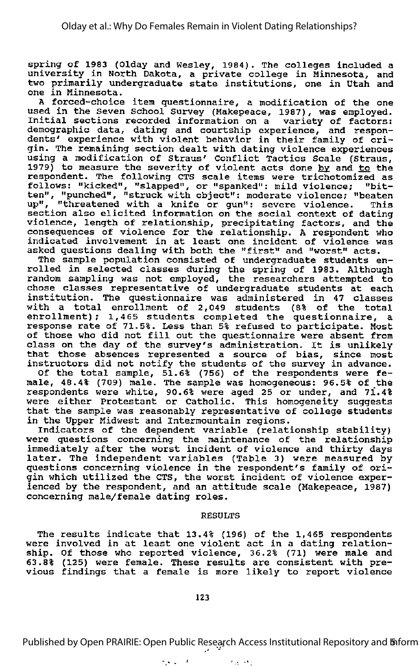spring of 1983 (Olday and Wesley, 1984). The colleges included a<br>university in North Dakota, a private college in Minnesota, and two primarily undergraduate state institutions, one in Utah and one in Minnesota.

<sup>A</sup> forced-choice item questionnaire, <sup>a</sup> modification of the one used in the Seven School Survey (Makepeace, 1987), was employed. Initial sections recorded information on a variety of factors: demographic data, dating and courtship experience, and respon dents' experience with violent behavior in their family of ori gin. The remaining section dealt with dating violence experiences using a modification of Straus' Conflict Tactics Scale (Straus, 1979) to measure the severity of violent acts done by and to the respondent. The following CTS scale items were trichotomized as follows: "kicked", "slapped", or "spanked": mild violence; "bit ten", "punched", "struck with object": moderate violence; "beaten up", "threatened with a knife or gun": severe violence. This section also elicited information on the social context of dating violence, length of relationship, precipitating factors, and the consequences of violence for the relationship. A respondent who indicated involvement in at least one incident of violence was asked questions dealing with both the "first" and "worst" acts.

The sample population consisted of undergraduate students en rolled in selected classes during the spring of 1983. Although random sampling was not employed, the researchers attempted to chose classes representative of undergraduate students at each institution. The questionnaire was administered in 47 classes with <sup>a</sup> total enrollment of 2,049 students (8% of the total enrollment); 1,465 students completed the questionnaire, a response rate of 71.5%. Less than 5% refused to participate. Host of those who did not fill out the questionnaire were absent from class on the day of the survey's administration. It is unlikely that those absences represented a source of bias, since most instructors did not notify the students of the survey in advance.

Of the total sample, 51.6% (756) of the respondents were fe male, 48.4% (709) male. The sample was homogeneous: 96.5% of the respondents were white, 90.6% were aged 25 or under, and 71.4% respondence were which, serve were aged is of dharf, and first that the sample was reasonably representative of college students in the Upper Midwest and Intermountain regions.

Indicators of the dependent variable (relationship stability) were questions concerning the maintenance of the relationship immediately after the worst incident of violence and thirty days later. The independent variables (Table 3) were measured by questions concerning violence in the respondent's family of ori gin which utilized the CTS, the worst incident of violence exper ienced by the respondent, and an attitude scale (Makepeace, 1987) concerning male/female dating roles.

### RESULTS

The results indicate that 13.4% (196) of the 1,465 respondents The results indicate that ISIN. (199) of the 1,409 respondent ship. Of those who reported violence, 36.2% (71) were male and 63.8% (125) were female. These results are consistent with pre vious findings that <sup>a</sup> female is more likely to report violence

Space of the

Published by Open PRAIRIE: Open Public Research Access Institutional Repository and *Inform* 

 $\mathcal{F}_{\mathcal{A}}$  ,  $\mathcal{F}_{\mathcal{A}}$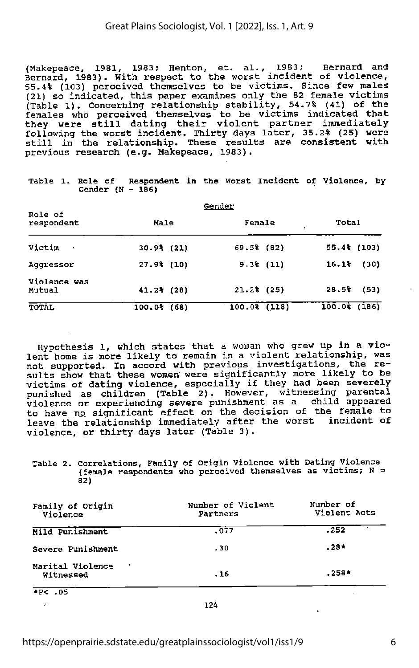(Makepeace, 1981, 1983; Henton, et. al., 1983; Bernard and Bernard, 1983). With respect to the worst incident of violence, 55.4% (103) perceived themselves to be victims. Since few males (21) so indicated, this paper examines only the 82 female victims (Table 1). Concerning relationship stability, 54.7% (41) of the females who perceived themselves to be victims indicated that they were still dating their violent partner immediately following the worst incident. Thirty days later, 35.2% (25) were still in the relationship. These results are consistent with previous research (e.g. Makepeace, 1983).

| Role of                | Gender         |  |                |  |                               |              |
|------------------------|----------------|--|----------------|--|-------------------------------|--------------|
| respondent             | Male           |  | Female         |  | Total<br>$\ddot{\phantom{1}}$ |              |
| Victim<br>$\sim$ 4     | $30.9%$ (21)   |  | $69.5%$ (82)   |  |                               | $55.4$ (103) |
| Addressor              | $27.9%$ (10)   |  | $9.3%$ (11)    |  | 16.1%                         | (30)         |
| Violence was<br>Mutual | $41.2%$ (28)   |  | $21.2%$ (25)   |  | 28.5%                         | (53)         |
| <b>TOTAL</b>           | $100.0$ $(68)$ |  | $100.0%$ (118) |  | 100.03(186)                   |              |

Table 1. Role of Respondent in the Worst Incident of Violence, by Gender  $(N - 186)$ 

Hypothesis 1, which states that a woman who grew up in a vio lent home is more likely to remain in a violent relationship, was not supported. In accord with previous investigations, the re sults show that these women were significantly more likely to be victims of dating violence, especially if they had been severely punished as children (Table 2). However, witnessing parental violence or experiencing severe punishment as <sup>a</sup> child appeared to have no significant effect on the decision of the female to leave the relationship immediately after the worst incident of violence, or thirty days later (Table 3).

Table 2. Correlations, Family of Origin Violence with Dating Violence (female respondents who perceived themselves as victims; N = 82)

| Family of Origin<br>Violence  | Number of Violent<br>Partners | Number of<br>Violent Acts |
|-------------------------------|-------------------------------|---------------------------|
| Mild Punishment               | .077                          | .252                      |
| Severe Punishment             | .30                           | $.28*$                    |
| Marital Violence<br>Witnessed | .16                           | $.258*$                   |
| $+P< 0.5$                     |                               |                           |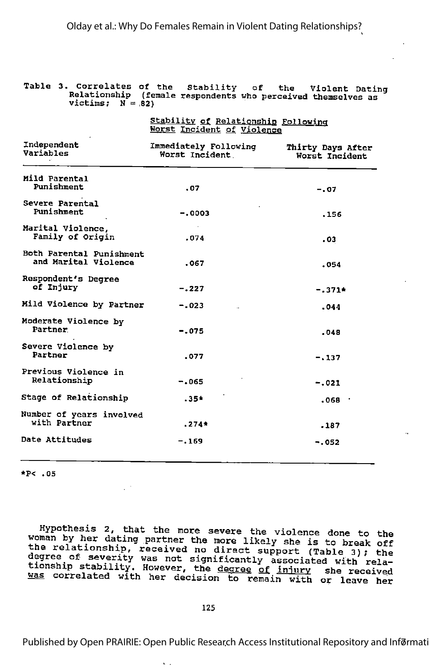|  | Table 3. Correlates of the Stability of the Violent Dating<br>Relationship (female respondents who perceived themselves as<br>$victims: N = 821$ |  |  |  |  |  |  |
|--|--------------------------------------------------------------------------------------------------------------------------------------------------|--|--|--|--|--|--|
|--|--------------------------------------------------------------------------------------------------------------------------------------------------|--|--|--|--|--|--|

|                                                  | <u>Stability of Relationship Following</u><br>Worst Incident of Violence |                                     |  |  |  |
|--------------------------------------------------|--------------------------------------------------------------------------|-------------------------------------|--|--|--|
| Independent<br>Variables                         | Immediately Following<br>Worst Incident                                  | Thirty Days After<br>Worst Incident |  |  |  |
| Mild Parental<br>Punishment                      | .07                                                                      | $-.07$                              |  |  |  |
| Severe Parental<br>Punishment                    | $-.0003$                                                                 | .156                                |  |  |  |
| Marital Violence.<br>Family of Origin            | .074                                                                     | .03                                 |  |  |  |
| Both Parental Punishment<br>and Marital Violence | .067                                                                     | .054                                |  |  |  |
| Respondent's Degree<br>of Injury                 | $-.227$                                                                  | $-.371*$                            |  |  |  |
| Mild Violence by Partner                         | $-.023$                                                                  | .044                                |  |  |  |
| Moderate Violence by<br>Partner                  | $-.075$                                                                  | .048                                |  |  |  |
| Severe Violence by<br>Partner                    | .077                                                                     | $-137$                              |  |  |  |
| Previous Violence in<br>Relationship             | $-.065$                                                                  | $-.021$                             |  |  |  |
| Stage of Relationship                            | $.35*$                                                                   | .068 .                              |  |  |  |
| Number of years involved<br>with Partner         | $.274*$                                                                  | $-187$                              |  |  |  |
| Date Attitudes                                   | $-.169$                                                                  | $-0.052$                            |  |  |  |

\*P< .05

Hypothesis 2, that the more severe the violence done to the woman by her dating partner the more likely she is to break off the relationship, received no direct support (Table 3); the degree of severity was not significantly associated with rela-<br>tionship stability. However, the degree of iniury she received Similarly: However, the degree of injury she received

Published by Open PRAIRIE: Open Public Research Access Institutional Repository and Inførmati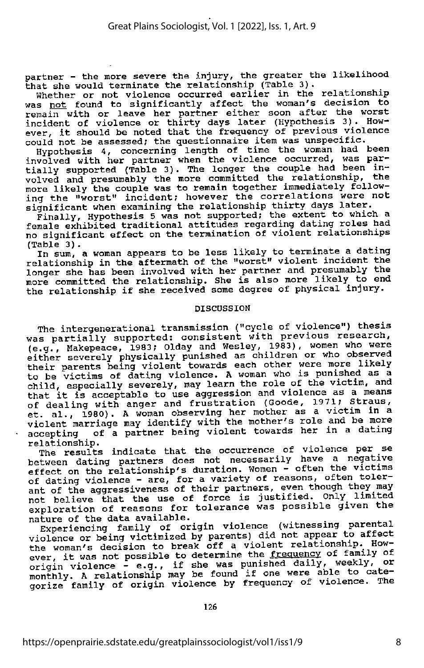partner - the more severe the injury, the greater the likelihood that she would terminate the relationship (Table 3).

Whether or not violence occurred earlier in the relationship was not found to significantly affect the woman's decision to remain with or leave her partner either soon after the worst incident of violence or thirty days later (Hypothesis 3). How ever, it should be noted that the frequency of previous violence<br>could not be assessed; the questionnaire item was unspecific.

Hypothesis 4, concerning length of time the woman had been involved with her partner when the violence occurred, was partially supported (Table 3). The longer the couple had been in volved and presumably the more committed the relationship, the more likely the couple was to remain together immediately following the "worst" incident; however the correlations were not significant when examining the relationship thirty days later.

Finally, Hypothesis 5 was not supported; the extent to which a female exhibited traditional attitudes regarding dating roles had no significant effect on the termination of violent relationships<br>(Table 3).

In sum, a woman appears to be less likely to terminate a dating relationship in the aftermath of the "worst" violent incident the longer she has been involved with her partner and presumably the more committed the relationship. She is also more likely to end the relationship if she received some degree of physical injury.

# DISCUSSION

The intergenerational transmission ("cycle of violence") thesis was partially supported: consistent with previous research, (e.g., Makepeace, 1983; Olday and Wesley, 1983), women who were either severely physically punished as children or who observed their parents being violent towards each other were more likely to be victims of dating violence. A woman who is punished as a child, especially severely, may learn the role of the victim, and that it is acceptable to use aggression and violence as a means of dealing with anger and frustration (Goode, 1971; Straus, et. al., 1980). A woman observing her mother as a victim in a violent marriage may identify with the mother's role and be more<br>accepting of a partner being violent towards her in a dating accepting of a partner being violent towards her in a dating<br>relationship. relationship. . ,

The results indicate that the occurrence of violence per se between dating partners does not necessarily have a negative<br>effect on the relationship's duration. Women - often the victims of dating violence - are, for a variety of reasons, often tolerant of the aggressiveness of their partners, even though they may not believe that the use of force is justified. Only\_ limited exploration of reasons for tolerance was possible given the nature of the data available.

Experiencing family of origin violence (witnessing parental violence or being victimized by parents) did not appear to affect the woman's decision to break off a violent relationship. How-<br>ever, it was not possible to determine the frequency of family of origin violence - e.g., if she was punished daily, weekly, or monthly. A relationship may be found if one were able to categorize family of origin violence by frequency of violence. The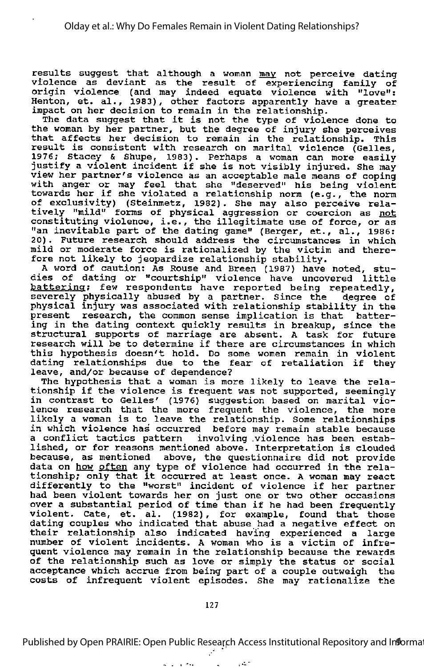results suggest that although a woman may not perceive dating violence as deviant as the result of experiencing family of origin violence (and may indeed equate violence with "love": Henton, et. al., 1983), other factors apparently have <sup>a</sup> greater impact on her decision to remain in the relationship. The data suggest that it is not the type of violence done to

the woman by her partner, but the degree of injury she perceives that affects her decision to remain in the relationship. This result is consistent with research on marital violence (Gelles, 1976; Stacey & Shupe, 1983). Perhaps <sup>a</sup> woman can more easily justify a violent incident if she is not visibly injured. She may view her partner's violence as an acceptable male means of coping with anger or may feel that she "deserved" his being violent towards her if she violated <sup>a</sup> relationship norm (e.g., the norm of exclusivity) (Steinmetz, 1982). She may also perceive rela tively "mild" forms of physical aggression or coercion as not constituting violence, i.e., the illegitimate use of force, or as "an inevitable part of the dating game" (Berger, et., al., 1986: 20) . Future research should address the circumstances in which zo, i ruding research should dudiess the critematances in which fore not likely to jeopardize relationship stability.

<sup>A</sup> word of caution: As Rouse and Breen (1987) have noted, stu dies of dating or "courtship" violence have uncovered little battering: few respondents have reported being repeatedly, severely physically abused by a partner. Since the degree of physical injury was associated with relationship stability in the present research, the common sense implication is that batter ing in the dating context quickly results in breakup, since the structural supports of marriage are absent. <sup>A</sup> task for future research will be to determine if there are circumstances in which this hypothesis doesn't hold. Do some women remain in violent dating relationships due to the fear of retaliation if they leave, and/or because of dependence?

The hypothesis that <sup>a</sup> woman is more likely to leave the rela tionship if the violence is frequent was not supported, seemingly in contrast to Gelles' (1976) suggestion based on marital vio in concruse to cerred (1970) Baggeboron based on marrier violence, the more likely a woman is to leave the relationship. Some relationships in which violence has occurred before may remain stable because <sup>a</sup> conflict tactics pattern involving .violence has been estab lished, or for reasons mentioned above. Interpretation is clouded because, as mentioned above, the questionnaire did not provide data on how often any type of violence had occurred in the rela data on <u>now often</u> any type of violence had occurred in the rela-<br>tionship; only that it occurred at least once. A woman may react differently to the "worst" incident of violence if her partner had been violent towards her on just one or two other occasions over <sup>a</sup> substantial period of time than if he had been frequently violent. Gate, et. al. (1982), for example, found that those dating couples who indicated that abuse had <sup>a</sup> negative effect on their relationship also indicated having experienced <sup>a</sup> large number of violent incidents. <sup>A</sup> woman who is <sup>a</sup> victim of infre quent violence may remain in the relationship because the rewards of the relationship such as love or simply the status or social acceptance which accrue from being part of a couple outweigh the costs of infrequent violent episodes. She may rationalize the

 $\alpha = 1$  , and  $\alpha = 1$ 

Published by Open PRAIRIE: Open Public Research Access Institutional Repository and Information

 $\mathcal{A}^{\mathcal{A}}$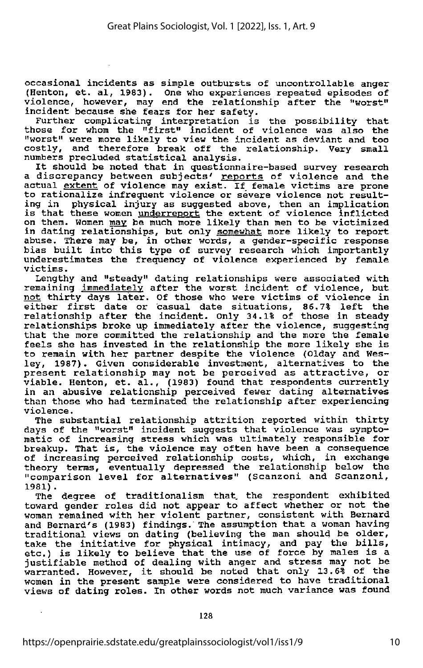occasional incidents as simple outbursts of uncontrollable anger (Henton, et. al, 1983) . One who experiences repeated episodes of violence, however, may end the relationship after the "worst" incident because she fears for her safety.

Further complicating interpretation is the possibility that those for whom the "first" incident of violence was also the "worst" were more likely to view the incident as deviant and too costly, and therefore break off the relationship. Very small numbers precluded statistical analysis.

It should be noted that in questionnaire-based survey research a discrepancy between subjects' reports of violence and the actual extent of violence may exist. If female victims are prone docual <u>skeeme</u> of violence may exist. If female victims are promoted to rationalize infrequent violence or severe violence not result ing in physical injury as suggested above, then an implication is that these women underreport the extent of violence inflicted on them. Women may be much more likely than men to be victimized in dating relationships, but only somewhat more likely to report abuse. There may be, in other words, a gender-specific response disable: intro may be, in other words, a gender specific response underestimates the frequency of violence experienced by female victims.

Lengthy and "steady" dating relationships were associated with remaining immediately after the worst incident of violence, but not thirty days later. Of those who were victims of violence in not thirty days fater. Of those who were victims of violence in<br>either first date or casual date situations, 86.7% left the relationship after the incident. Only 34.1% of those in steady relationships broke up immediately after the violence, suggesting that the more committed the relationship and the more the female feels she has invested in the relationship the more likely she is to remain with her partner despite the violence (Olday and Wes ley, 1987). Given considerable investment, alternatives to the present relationship may not be perceived as attractive, or present reflacionship may not be perceived as accrucive, of<br>viable. Henton, et. al., (1983) found that respondents currently in an abusive relationship perceived fewer dating alternatives than those who had terminated the relationship after experiencing violence.

The substantial relationship attrition reported within thirty days of the "worst" incident suggests that violence was sympto matic of increasing stress which was ultimately responsible for breakup. That is, the violence may often have been <sup>a</sup> consequence of increasing perceived relationship costs, which, in exchange theory terms, eventually depressed the relationship below the "comparison level for alternatives" (Scanzoni and Scanzoni, 1981) .

The degree of traditionalism that, the respondent exhibited toward gender roles did not appear to affect whether or not the woman remained with her violent partner, consistent with Bernard and Bernard's (1983) findings. The assumption that a woman having traditional views on dating (believing the man should be older, take the initiative for physical intimacy, and pay the bills, etc.) is likely to believe that the use of force by males is a justifiable method of dealing with anger and stress may not be gustifiable method of dealing with anger and stress may not be<br>warranted. However, it should be noted that only 13.6% of the women in the present sample were considered to have traditional views of dating roles. In other words not much variance was found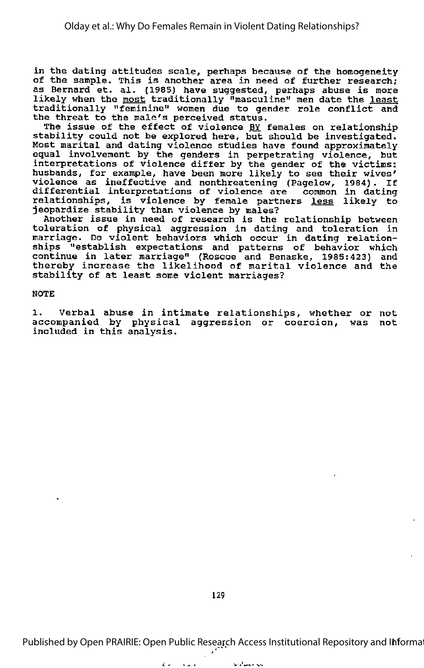in the dating attitudes scale, perhaps because of the homogeneity In the dating attitudes scale, perhaps because of the homogeneity<br>of the sample. This is another area in need of further research; as Bernard et. al. (1985) have suggested, perhaps abuse is more as sermard ee: ai. (1999) have suggested, perhaps abuse is more<br>likely when the <u>most</u> traditionally "masculine" men date the <u>least</u> traditionally "feminine" women due to gender role conflict and the threat to the male's perceived status.

The issue of the effect of violence BY females on relationship Include of the criter of violence of remails on relationship<br>stability could not be explored here, but should be investigated. Most marital and dating violence studies have found approximately equal involvement by the genders in perpetrating violence, but interpretations of violence differ by the gender of the victims; husbands, for example, have been more likely to see their wives' violence as ineffective and nonthreatening (Pagelow, 1984). If differential interpretations of violence are common in dating arricrement interpretations of violence are common in dating<br>relationships, is violence by female partners <u>less</u> likely to jeopardize stability than violence by males?

Another issue in need of research is the relationship between toleration of physical aggression in dating and toleration in marriage. Do violent behaviors which occur in dating relation ships "establish expectations and patterns of behavior which continue in later marriage" (Roscoe and Benaske, 1985:423) and thereby increase the likelihood of marital violence and the stability of at least some violent marriages?

NOTE

1. Verbal abuse in intimate relationships, whether or not accompanied by physical aggression or coercion, was not included in this analysis.

129

Published by Open PRAIRIE: Open Public Research Access Institutional Repository and Informat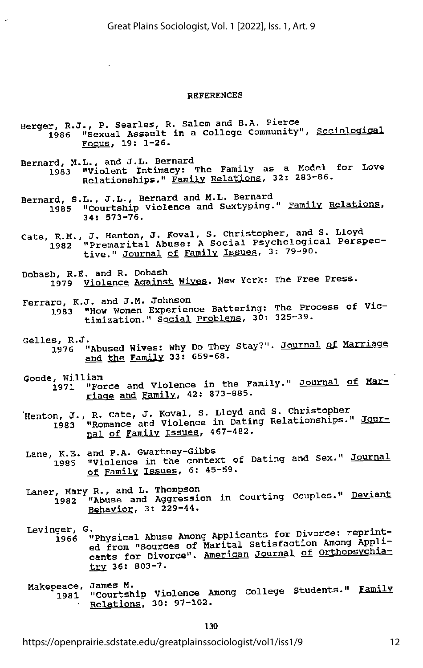#### REFERENCES

- Berger, R.J., P. Searles, R. Salem and B.A. Pierce<br>1986 "Sexual Assault in a College Community", Sociological<br>Focus, 19: 1-26.
- Bernard, M.L., and J.L. Bernard<br>1983 "Violent Intimacy: The Family as a Model for Love Relationships." Family Relations, 32: 283-86.
- Bernard, S.L., J.L., Bernard and M.L. Bernard<br>1985 "Courtship Violence and Sextyping." Family Relations,<br>34: 573-76.
- Cate, R.M., J. Henton, J. Koval, S. Christopher, and S. Lloyd<br>1982 "Premarital Abuse: A Social Psychological Perspec-<br>tive." <u>Journal of Family Issues</u>, 3: 79-90.
- Dobash, R.E. and R. Dobash 1979 Violence Against Wives. New York: The Free Press.
- Ferraro, K.J. and J.M. Johnson 1983 "How Women Experience Battering: The Process of Vic timization." Social Problems, 30: 325-39.
- Gelles, K.O.<br>1976 "Abused Wives: Why Do They Stay?". <u>Journal of Marriage</u> and the Family 33: 659-68.
- Goode, William<br>1971 "Force and Violence in the Family." Journal of Marriage and Family. 42: 873-885.
- J., R. Cate, J. Koval, S. Lloyd and S. Christopher ", o., it case, and Violence in Dating Relationships." Jour nal of Family Issues, 467-482.
- Lane, K.E. and P.A. Gwartney-Gibbs 1985 "Violence in the context of Dating and Sex." Journal of Family Issues, 6: 45-59.
- Laner, Mary R., and L. Thompson<br>1982 "Abuse and Aggression in Courting Couples." <u>Deviant</u> Behavior. 3: 229-44.
- Levinger, G.<br>1966 "Physical Abuse Among Applicants for Divorce: reprint-<br>ed from "Sources of Marital Satisfaction Among Applicants for Divorce". American Journal of Orthopsychiatry 36: 803-7.
- Makepeace, James M.<br>1981 "Courtship Violence Among College Students." <u>Family</u> Relations. 30: 97-102.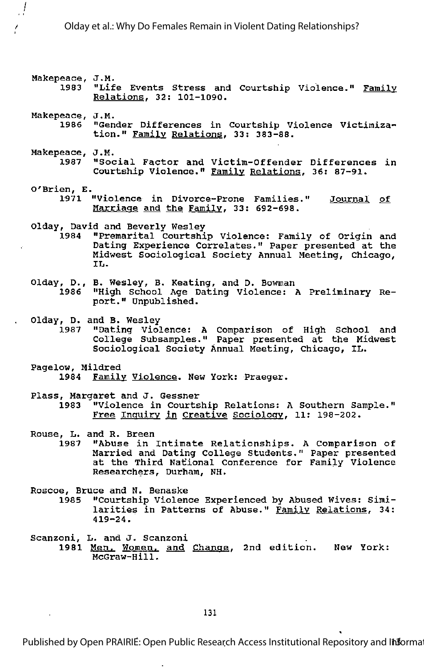- Makepeace, J.M.<br>1983 "Life Events Stress and Courtship Violence." <u>Family</u> Relations. 32; 101-1090.
- Makepeace, J.M.

 $\int$ 

- 1986 "Gender Differences in Courtship Violence Victimiza tion." Family Relations, 33: 383-88.
- Makepeace, J.M. 1987 "Social Factor and Victim-Offender Differences in Courtship Violence." Family Relations. 36; 87-91.
- O'Brien, E. 1971 "Violence in Divorce-Prone Families." Journal of Marriage and the Family, 33: 692-698.
- Olday, David and Beverly Wesley
	- 1984 "Premarital Courtship Violence: Family of Origin and Dating Experience Correlates." Paper presented at the Midwest Sociological Society Annual Meeting, Chicago, IL.
- Olday, D., B. Wesley, B. Keating, and D. Bowman "High School Age Dating Violence: A Preliminary Report." Unpublished.
- Olday, D. and B. Wesley
	- 1987 "Dating Violence: A Comparison of High School and College Subsamples." Paper presented at the Midwest Sociological Society Annual Meeting, Chicago, IL.
- Pagelow, Mildred 1984 Family Violence. New York: Praeger.
- Plass, Margaret and J. Gessner 1983 "Violence in Courtship Relations: A Southern Sample." Free Inquiry in Creative Sociology. 11: 198-202.
- Rouse, L. and R. Breen<br>1987 "Abuse in
	- "Abuse in Intimate Relationships. A Comparison of Married and Dating College Students." Paper presented at the Third National Conference for Family Violence Researchers, Durham, NH.

Roscoe, Bruce and N. Benaske

- 1985 "Courtship Violence Experienced by Abused Wives: Simi larities in Patterns of Abuse." Family Relations. 34: 419-24.
- Scanzoni, L. and J. Scanzoni 1981 Men. Women, and Change, 2nd edition. New York: McGraw-Hill.

131

Published by Open PRAIRIE: Open Public Research Access Institutional Repository and Informat